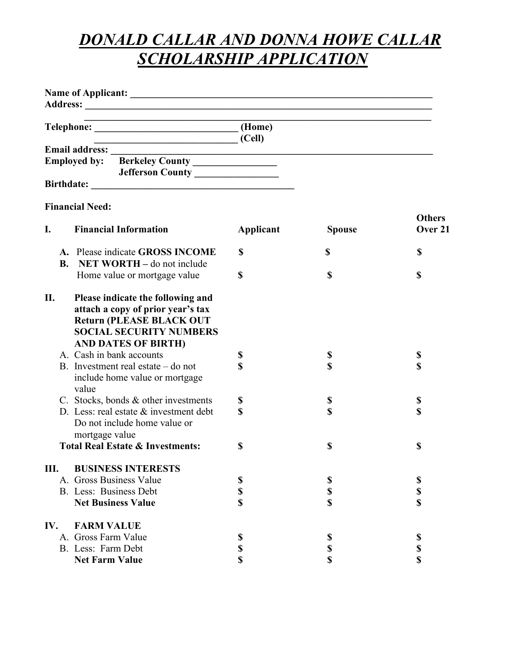## *DONALD CALLAR AND DONNA HOWE CALLAR SCHOLARSHIP APPLICATION*

|           | Telephone: (Home)                                                                                                                                                         | (Cell)    |               |               |
|-----------|---------------------------------------------------------------------------------------------------------------------------------------------------------------------------|-----------|---------------|---------------|
|           | Employed by: Berkeley County<br>Jefferson County ________________                                                                                                         |           |               |               |
|           |                                                                                                                                                                           |           |               |               |
|           | <b>Financial Need:</b>                                                                                                                                                    |           |               | <b>Others</b> |
| I.        | <b>Financial Information</b>                                                                                                                                              | Applicant | <b>Spouse</b> | Over 21       |
| <b>B.</b> | A. Please indicate GROSS INCOME<br>NET WORTH – do not include                                                                                                             | \$        | \$            | \$            |
|           | Home value or mortgage value                                                                                                                                              | \$        | \$            | \$            |
| П.        | Please indicate the following and<br>attach a copy of prior year's tax<br><b>Return (PLEASE BLACK OUT</b><br><b>SOCIAL SECURITY NUMBERS</b><br><b>AND DATES OF BIRTH)</b> |           |               |               |
|           | A. Cash in bank accounts                                                                                                                                                  | \$        | \$            | \$            |
|           | B. Investment real estate $-$ do not<br>include home value or mortgage<br>value                                                                                           | \$        | \$            | \$            |
|           | C. Stocks, bonds & other investments                                                                                                                                      | \$        | \$            | $\mathbb S$   |
|           | D. Less: real estate $&$ investment debt<br>Do not include home value or<br>mortgage value                                                                                | \$        | \$            | \$            |
|           | <b>Total Real Estate &amp; Investments:</b>                                                                                                                               | \$        | \$            | \$            |
| Ш.        | <b>BUSINESS INTERESTS</b>                                                                                                                                                 |           |               |               |
|           | A. Gross Business Value                                                                                                                                                   | \$        | \$            | \$            |
|           | B. Less: Business Debt                                                                                                                                                    | \$        | \$            | \$            |
|           | <b>Net Business Value</b>                                                                                                                                                 | \$        | \$            | \$            |
| IV.       | <b>FARM VALUE</b>                                                                                                                                                         |           |               |               |
|           | A. Gross Farm Value                                                                                                                                                       | \$        | \$            | \$            |
|           | B. Less: Farm Debt                                                                                                                                                        | \$        | \$            | \$            |
|           | <b>Net Farm Value</b>                                                                                                                                                     | \$        | \$            | \$            |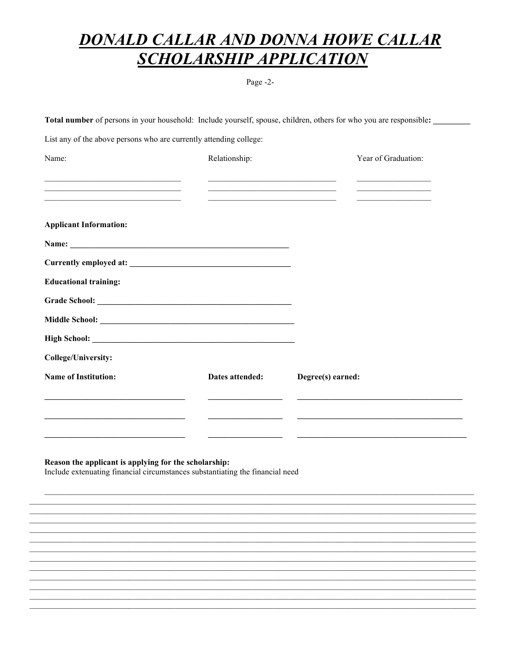## **DONALD CALLAR AND DONNA HOWE CALLAR SCHOLARSHIP APPLICATION**

Page -2-

Total number of persons in your household: Include yourself, spouse, children, others for who you are responsible:

List any of the above persons who are currently attending college:

| Name:                                                                                                                                                                                                                         | Relationship:   | Year of Graduation:                                                                                                                                                                                                                                                                                                                                            |  |
|-------------------------------------------------------------------------------------------------------------------------------------------------------------------------------------------------------------------------------|-----------------|----------------------------------------------------------------------------------------------------------------------------------------------------------------------------------------------------------------------------------------------------------------------------------------------------------------------------------------------------------------|--|
| the control of the control of the control of the control of the control of the control of the control of the control of the control of the control of the control of the control of the control of the control of the control |                 | <u> 1990 - Johann John Stone, mars eta bainar eta baina eta erromana eta baina eta baina eta baina eta baina eta</u><br><u> 2002 - Johann John Stone, mars and de la provincia de la provincia de la provincia de la provincia de la provi</u>                                                                                                                 |  |
|                                                                                                                                                                                                                               |                 | <u> 2002 - Johann John Stone, mars and de la provincia de la provincia de la provincia de la provincia de la provi</u><br><u> 1989 - Johann John Harry Harry Harry Harry Harry Harry Harry Harry Harry Harry Harry Harry Harry Harry Harry Harry Harry Harry Harry Harry Harry Harry Harry Harry Harry Harry Harry Harry Harry Harry Harry Harry Harry Har</u> |  |
| <b>Applicant Information:</b>                                                                                                                                                                                                 |                 |                                                                                                                                                                                                                                                                                                                                                                |  |
|                                                                                                                                                                                                                               |                 |                                                                                                                                                                                                                                                                                                                                                                |  |
|                                                                                                                                                                                                                               |                 |                                                                                                                                                                                                                                                                                                                                                                |  |
| <b>Educational training:</b>                                                                                                                                                                                                  |                 |                                                                                                                                                                                                                                                                                                                                                                |  |
|                                                                                                                                                                                                                               |                 |                                                                                                                                                                                                                                                                                                                                                                |  |
|                                                                                                                                                                                                                               |                 |                                                                                                                                                                                                                                                                                                                                                                |  |
|                                                                                                                                                                                                                               |                 |                                                                                                                                                                                                                                                                                                                                                                |  |
| <b>College/University:</b>                                                                                                                                                                                                    |                 |                                                                                                                                                                                                                                                                                                                                                                |  |
| <b>Name of Institution:</b>                                                                                                                                                                                                   | Dates attended: | Degree(s) earned:                                                                                                                                                                                                                                                                                                                                              |  |
|                                                                                                                                                                                                                               |                 |                                                                                                                                                                                                                                                                                                                                                                |  |
|                                                                                                                                                                                                                               |                 |                                                                                                                                                                                                                                                                                                                                                                |  |
|                                                                                                                                                                                                                               |                 |                                                                                                                                                                                                                                                                                                                                                                |  |

## Reason the applicant is applying for the scholarship:

Include extenuating financial circumstances substantiating the financial need